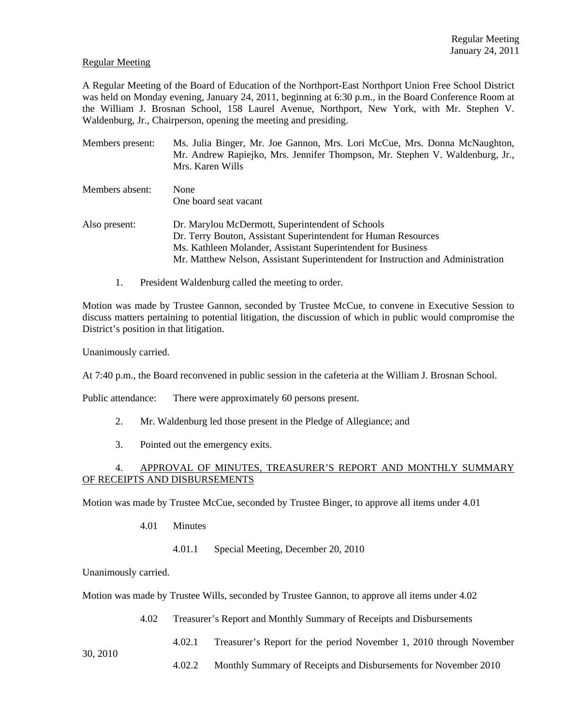### Regular Meeting

A Regular Meeting of the Board of Education of the Northport-East Northport Union Free School District was held on Monday evening, January 24, 2011, beginning at 6:30 p.m., in the Board Conference Room at the William J. Brosnan School, 158 Laurel Avenue, Northport, New York, with Mr. Stephen V. Waldenburg, Jr., Chairperson, opening the meeting and presiding.

| Members present: | Ms. Julia Binger, Mr. Joe Gannon, Mrs. Lori McCue, Mrs. Donna McNaughton,<br>Mr. Andrew Rapiejko, Mrs. Jennifer Thompson, Mr. Stephen V. Waldenburg, Jr.,<br>Mrs. Karen Wills                                                                                         |
|------------------|-----------------------------------------------------------------------------------------------------------------------------------------------------------------------------------------------------------------------------------------------------------------------|
| Members absent:  | None<br>One board seat vacant                                                                                                                                                                                                                                         |
| Also present:    | Dr. Marylou McDermott, Superintendent of Schools<br>Dr. Terry Bouton, Assistant Superintendent for Human Resources<br>Ms. Kathleen Molander, Assistant Superintendent for Business<br>Mr. Matthew Nelson, Assistant Superintendent for Instruction and Administration |

1. President Waldenburg called the meeting to order.

Motion was made by Trustee Gannon, seconded by Trustee McCue, to convene in Executive Session to discuss matters pertaining to potential litigation, the discussion of which in public would compromise the District's position in that litigation.

Unanimously carried.

At 7:40 p.m., the Board reconvened in public session in the cafeteria at the William J. Brosnan School.

Public attendance: There were approximately 60 persons present.

- 2. Mr. Waldenburg led those present in the Pledge of Allegiance; and
- 3. Pointed out the emergency exits.

# 4. APPROVAL OF MINUTES, TREASURER'S REPORT AND MONTHLY SUMMARY OF RECEIPTS AND DISBURSEMENTS

Motion was made by Trustee McCue, seconded by Trustee Binger, to approve all items under 4.01

- 4.01 Minutes
	- 4.01.1 Special Meeting, December 20, 2010

Unanimously carried.

Motion was made by Trustee Wills, seconded by Trustee Gannon, to approve all items under 4.02

4.02 Treasurer's Report and Monthly Summary of Receipts and Disbursements

4.02.1 Treasurer's Report for the period November 1, 2010 through November

4.02.2 Monthly Summary of Receipts and Disbursements for November 2010

30, 2010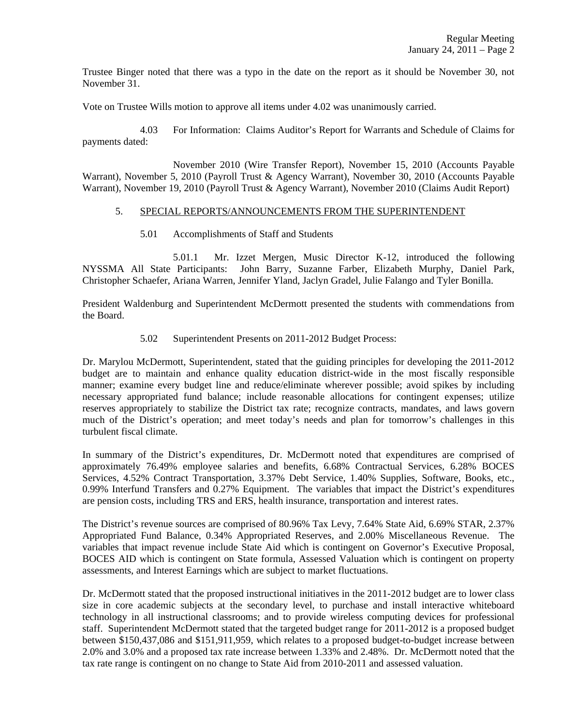Trustee Binger noted that there was a typo in the date on the report as it should be November 30, not November 31.

Vote on Trustee Wills motion to approve all items under 4.02 was unanimously carried.

 4.03 For Information: Claims Auditor's Report for Warrants and Schedule of Claims for payments dated:

 November 2010 (Wire Transfer Report), November 15, 2010 (Accounts Payable Warrant), November 5, 2010 (Payroll Trust & Agency Warrant), November 30, 2010 (Accounts Payable Warrant), November 19, 2010 (Payroll Trust & Agency Warrant), November 2010 (Claims Audit Report)

#### 5. SPECIAL REPORTS/ANNOUNCEMENTS FROM THE SUPERINTENDENT

5.01 Accomplishments of Staff and Students

 5.01.1 Mr. Izzet Mergen, Music Director K-12, introduced the following NYSSMA All State Participants: John Barry, Suzanne Farber, Elizabeth Murphy, Daniel Park, Christopher Schaefer, Ariana Warren, Jennifer Yland, Jaclyn Gradel, Julie Falango and Tyler Bonilla.

President Waldenburg and Superintendent McDermott presented the students with commendations from the Board.

### 5.02 Superintendent Presents on 2011-2012 Budget Process:

Dr. Marylou McDermott, Superintendent, stated that the guiding principles for developing the 2011-2012 budget are to maintain and enhance quality education district-wide in the most fiscally responsible manner; examine every budget line and reduce/eliminate wherever possible; avoid spikes by including necessary appropriated fund balance; include reasonable allocations for contingent expenses; utilize reserves appropriately to stabilize the District tax rate; recognize contracts, mandates, and laws govern much of the District's operation; and meet today's needs and plan for tomorrow's challenges in this turbulent fiscal climate.

In summary of the District's expenditures, Dr. McDermott noted that expenditures are comprised of approximately 76.49% employee salaries and benefits, 6.68% Contractual Services, 6.28% BOCES Services, 4.52% Contract Transportation, 3.37% Debt Service, 1.40% Supplies, Software, Books, etc., 0.99% Interfund Transfers and 0.27% Equipment. The variables that impact the District's expenditures are pension costs, including TRS and ERS, health insurance, transportation and interest rates.

The District's revenue sources are comprised of 80.96% Tax Levy, 7.64% State Aid, 6.69% STAR, 2.37% Appropriated Fund Balance, 0.34% Appropriated Reserves, and 2.00% Miscellaneous Revenue. The variables that impact revenue include State Aid which is contingent on Governor's Executive Proposal, BOCES AID which is contingent on State formula, Assessed Valuation which is contingent on property assessments, and Interest Earnings which are subject to market fluctuations.

Dr. McDermott stated that the proposed instructional initiatives in the 2011-2012 budget are to lower class size in core academic subjects at the secondary level, to purchase and install interactive whiteboard technology in all instructional classrooms; and to provide wireless computing devices for professional staff. Superintendent McDermott stated that the targeted budget range for 2011-2012 is a proposed budget between \$150,437,086 and \$151,911,959, which relates to a proposed budget-to-budget increase between 2.0% and 3.0% and a proposed tax rate increase between 1.33% and 2.48%. Dr. McDermott noted that the tax rate range is contingent on no change to State Aid from 2010-2011 and assessed valuation.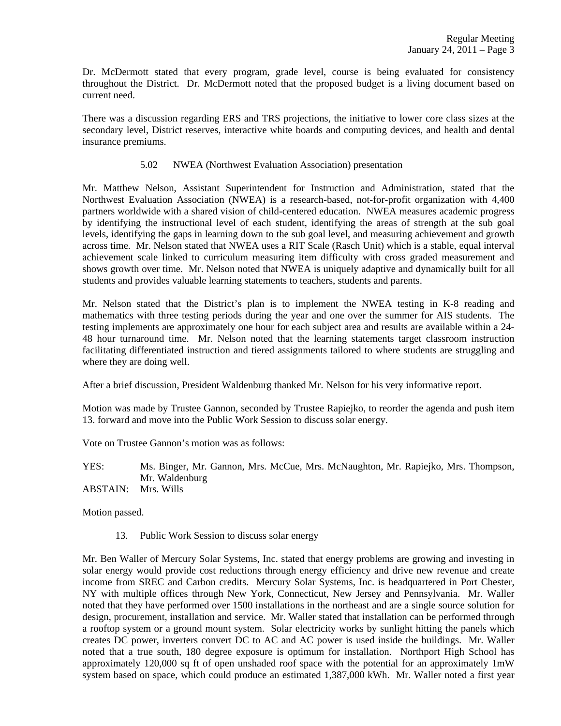Dr. McDermott stated that every program, grade level, course is being evaluated for consistency throughout the District. Dr. McDermott noted that the proposed budget is a living document based on current need.

There was a discussion regarding ERS and TRS projections, the initiative to lower core class sizes at the secondary level, District reserves, interactive white boards and computing devices, and health and dental insurance premiums.

# 5.02 NWEA (Northwest Evaluation Association) presentation

Mr. Matthew Nelson, Assistant Superintendent for Instruction and Administration, stated that the Northwest Evaluation Association (NWEA) is a research-based, not-for-profit organization with 4,400 partners worldwide with a shared vision of child-centered education. NWEA measures academic progress by identifying the instructional level of each student, identifying the areas of strength at the sub goal levels, identifying the gaps in learning down to the sub goal level, and measuring achievement and growth across time. Mr. Nelson stated that NWEA uses a RIT Scale (Rasch Unit) which is a stable, equal interval achievement scale linked to curriculum measuring item difficulty with cross graded measurement and shows growth over time. Mr. Nelson noted that NWEA is uniquely adaptive and dynamically built for all students and provides valuable learning statements to teachers, students and parents.

Mr. Nelson stated that the District's plan is to implement the NWEA testing in K-8 reading and mathematics with three testing periods during the year and one over the summer for AIS students. The testing implements are approximately one hour for each subject area and results are available within a 24- 48 hour turnaround time. Mr. Nelson noted that the learning statements target classroom instruction facilitating differentiated instruction and tiered assignments tailored to where students are struggling and where they are doing well.

After a brief discussion, President Waldenburg thanked Mr. Nelson for his very informative report.

Motion was made by Trustee Gannon, seconded by Trustee Rapiejko, to reorder the agenda and push item 13. forward and move into the Public Work Session to discuss solar energy.

Vote on Trustee Gannon's motion was as follows:

YES: Ms. Binger, Mr. Gannon, Mrs. McCue, Mrs. McNaughton, Mr. Rapiejko, Mrs. Thompson, Mr. Waldenburg

ABSTAIN: Mrs. Wills

Motion passed.

13. Public Work Session to discuss solar energy

Mr. Ben Waller of Mercury Solar Systems, Inc. stated that energy problems are growing and investing in solar energy would provide cost reductions through energy efficiency and drive new revenue and create income from SREC and Carbon credits. Mercury Solar Systems, Inc. is headquartered in Port Chester, NY with multiple offices through New York, Connecticut, New Jersey and Pennsylvania. Mr. Waller noted that they have performed over 1500 installations in the northeast and are a single source solution for design, procurement, installation and service. Mr. Waller stated that installation can be performed through a rooftop system or a ground mount system. Solar electricity works by sunlight hitting the panels which creates DC power, inverters convert DC to AC and AC power is used inside the buildings. Mr. Waller noted that a true south, 180 degree exposure is optimum for installation. Northport High School has approximately 120,000 sq ft of open unshaded roof space with the potential for an approximately 1mW system based on space, which could produce an estimated 1,387,000 kWh. Mr. Waller noted a first year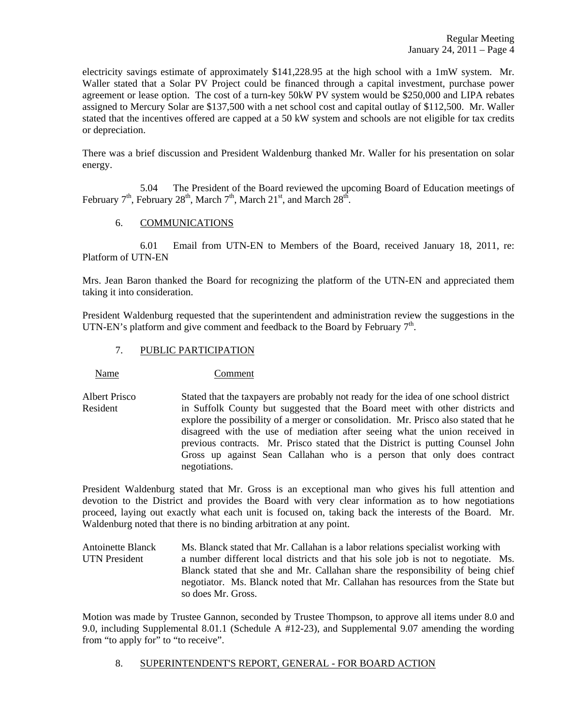electricity savings estimate of approximately \$141,228.95 at the high school with a 1mW system. Mr. Waller stated that a Solar PV Project could be financed through a capital investment, purchase power agreement or lease option. The cost of a turn-key 50kW PV system would be \$250,000 and LIPA rebates assigned to Mercury Solar are \$137,500 with a net school cost and capital outlay of \$112,500. Mr. Waller stated that the incentives offered are capped at a 50 kW system and schools are not eligible for tax credits or depreciation.

There was a brief discussion and President Waldenburg thanked Mr. Waller for his presentation on solar energy.

 5.04 The President of the Board reviewed the upcoming Board of Education meetings of February  $7<sup>th</sup>$ , February 28<sup>th</sup>, March  $7<sup>th</sup>$ , March  $21<sup>st</sup>$ , and March  $28<sup>th</sup>$ .

# 6. COMMUNICATIONS

 6.01 Email from UTN-EN to Members of the Board, received January 18, 2011, re: Platform of UTN-EN

Mrs. Jean Baron thanked the Board for recognizing the platform of the UTN-EN and appreciated them taking it into consideration.

President Waldenburg requested that the superintendent and administration review the suggestions in the UTN-EN's platform and give comment and feedback to the Board by February  $7<sup>th</sup>$ .

# 7. PUBLIC PARTICIPATION

Name Comment

Albert Prisco Stated that the taxpayers are probably not ready for the idea of one school district Resident in Suffolk County but suggested that the Board meet with other districts and explore the possibility of a merger or consolidation. Mr. Prisco also stated that he disagreed with the use of mediation after seeing what the union received in previous contracts. Mr. Prisco stated that the District is putting Counsel John Gross up against Sean Callahan who is a person that only does contract negotiations.

President Waldenburg stated that Mr. Gross is an exceptional man who gives his full attention and devotion to the District and provides the Board with very clear information as to how negotiations proceed, laying out exactly what each unit is focused on, taking back the interests of the Board. Mr. Waldenburg noted that there is no binding arbitration at any point.

Antoinette Blanck Ms. Blanck stated that Mr. Callahan is a labor relations specialist working with UTN President a number different local districts and that his sole job is not to negotiate. Ms. Blanck stated that she and Mr. Callahan share the responsibility of being chief negotiator. Ms. Blanck noted that Mr. Callahan has resources from the State but so does Mr. Gross.

Motion was made by Trustee Gannon, seconded by Trustee Thompson, to approve all items under 8.0 and 9.0, including Supplemental 8.01.1 (Schedule A #12-23), and Supplemental 9.07 amending the wording from "to apply for" to "to receive".

# 8. SUPERINTENDENT'S REPORT, GENERAL - FOR BOARD ACTION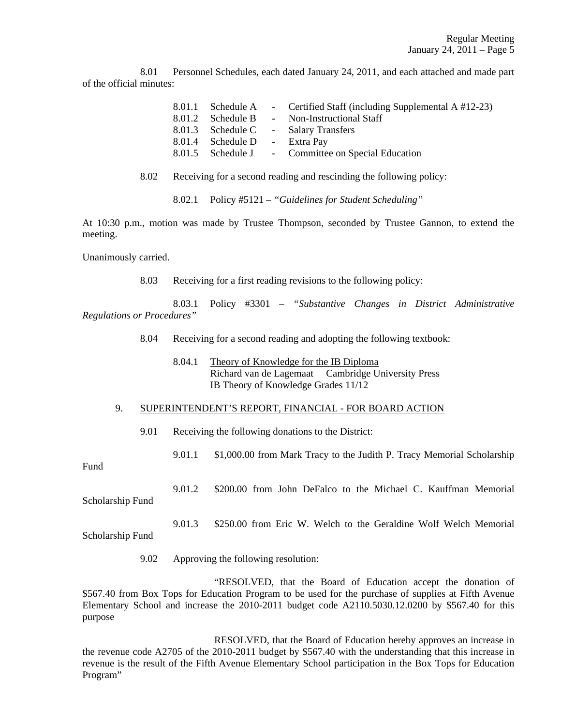8.01 Personnel Schedules, each dated January 24, 2011, and each attached and made part of the official minutes:

|                               | 8.01.1 Schedule A - Certified Staff (including Supplemental A #12-23) |
|-------------------------------|-----------------------------------------------------------------------|
| 8.01.2 Schedule B             | - Non-Instructional Staff                                             |
|                               | 8.01.3 Schedule C - Salary Transfers                                  |
| 8.01.4 Schedule D - Extra Pay |                                                                       |
|                               | 8.01.5 Schedule J - Committee on Special Education                    |

8.02 Receiving for a second reading and rescinding the following policy:

8.02.1 Policy #5121 – *"Guidelines for Student Scheduling"* 

At 10:30 p.m., motion was made by Trustee Thompson, seconded by Trustee Gannon, to extend the meeting.

Unanimously carried.

8.03 Receiving for a first reading revisions to the following policy:

 8.03.1 Policy #3301 – *"Substantive Changes in District Administrative Regulations or Procedures"*

8.04 Receiving for a second reading and adopting the following textbook:

 8.04.1 Theory of Knowledge for the IB Diploma Richard van de Lagemaat Cambridge University Press IB Theory of Knowledge Grades 11/12

#### 9. SUPERINTENDENT'S REPORT, FINANCIAL - FOR BOARD ACTION

9.01 Receiving the following donations to the District:

9.01.1 \$1,000.00 from Mark Tracy to the Judith P. Tracy Memorial Scholarship

Fund

 9.01.2 \$200.00 from John DeFalco to the Michael C. Kauffman Memorial Scholarship Fund

 9.01.3 \$250.00 from Eric W. Welch to the Geraldine Wolf Welch Memorial Scholarship Fund

9.02 Approving the following resolution:

 "RESOLVED, that the Board of Education accept the donation of \$567.40 from Box Tops for Education Program to be used for the purchase of supplies at Fifth Avenue Elementary School and increase the 2010-2011 budget code A2110.5030.12.0200 by \$567.40 for this purpose

 RESOLVED, that the Board of Education hereby approves an increase in the revenue code A2705 of the 2010-2011 budget by \$567.40 with the understanding that this increase in revenue is the result of the Fifth Avenue Elementary School participation in the Box Tops for Education Program"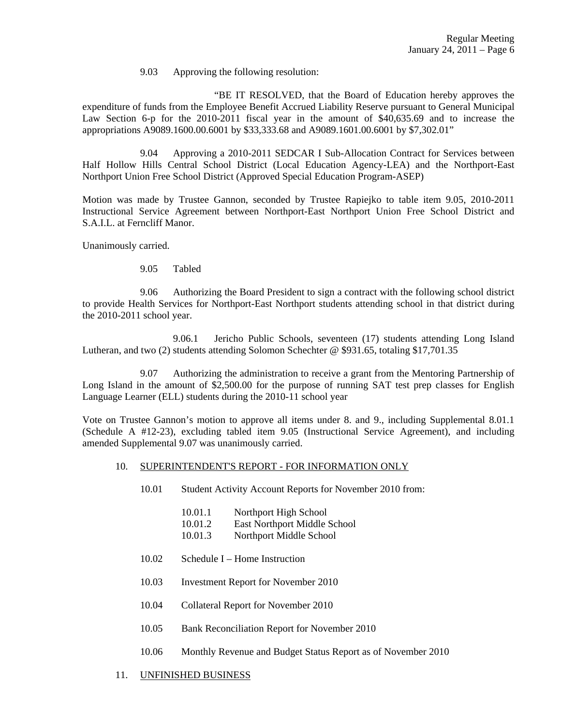9.03 Approving the following resolution:

 "BE IT RESOLVED, that the Board of Education hereby approves the expenditure of funds from the Employee Benefit Accrued Liability Reserve pursuant to General Municipal Law Section 6-p for the 2010-2011 fiscal year in the amount of \$40,635.69 and to increase the appropriations A9089.1600.00.6001 by \$33,333.68 and A9089.1601.00.6001 by \$7,302.01"

 9.04 Approving a 2010-2011 SEDCAR I Sub-Allocation Contract for Services between Half Hollow Hills Central School District (Local Education Agency-LEA) and the Northport-East Northport Union Free School District (Approved Special Education Program-ASEP)

Motion was made by Trustee Gannon, seconded by Trustee Rapiejko to table item 9.05, 2010-2011 Instructional Service Agreement between Northport-East Northport Union Free School District and S.A.I.L. at Ferncliff Manor.

Unanimously carried.

9.05 Tabled

 9.06 Authorizing the Board President to sign a contract with the following school district to provide Health Services for Northport-East Northport students attending school in that district during the 2010-2011 school year.

 9.06.1 Jericho Public Schools, seventeen (17) students attending Long Island Lutheran, and two (2) students attending Solomon Schechter @ \$931.65, totaling \$17,701.35

 9.07 Authorizing the administration to receive a grant from the Mentoring Partnership of Long Island in the amount of \$2,500.00 for the purpose of running SAT test prep classes for English Language Learner (ELL) students during the 2010-11 school year

Vote on Trustee Gannon's motion to approve all items under 8. and 9., including Supplemental 8.01.1 (Schedule A #12-23), excluding tabled item 9.05 (Instructional Service Agreement), and including amended Supplemental 9.07 was unanimously carried.

#### 10. SUPERINTENDENT'S REPORT - FOR INFORMATION ONLY

- 10.01 Student Activity Account Reports for November 2010 from:
	- 10.01.1 Northport High School
	- 10.01.2 East Northport Middle School
	- 10.01.3 Northport Middle School
- 10.02 Schedule I Home Instruction
- 10.03 Investment Report for November 2010
- 10.04 Collateral Report for November 2010
- 10.05 Bank Reconciliation Report for November 2010
- 10.06 Monthly Revenue and Budget Status Report as of November 2010
- 11. UNFINISHED BUSINESS